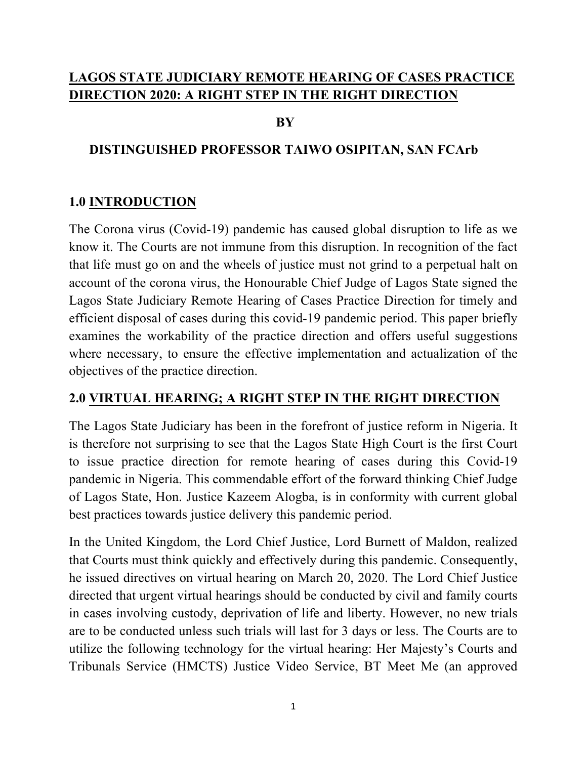## **LAGOS STATE JUDICIARY REMOTE HEARING OF CASES PRACTICE DIRECTION 2020: A RIGHT STEP IN THE RIGHT DIRECTION**

#### **BY**

#### **DISTINGUISHED PROFESSOR TAIWO OSIPITAN, SAN FCArb**

#### **1.0 INTRODUCTION**

The Corona virus (Covid-19) pandemic has caused global disruption to life as we know it. The Courts are not immune from this disruption. In recognition of the fact that life must go on and the wheels of justice must not grind to a perpetual halt on account of the corona virus, the Honourable Chief Judge of Lagos State signed the Lagos State Judiciary Remote Hearing of Cases Practice Direction for timely and efficient disposal of cases during this covid-19 pandemic period. This paper briefly examines the workability of the practice direction and offers useful suggestions where necessary, to ensure the effective implementation and actualization of the objectives of the practice direction.

### **2.0 VIRTUAL HEARING; A RIGHT STEP IN THE RIGHT DIRECTION**

The Lagos State Judiciary has been in the forefront of justice reform in Nigeria. It is therefore not surprising to see that the Lagos State High Court is the first Court to issue practice direction for remote hearing of cases during this Covid-19 pandemic in Nigeria. This commendable effort of the forward thinking Chief Judge of Lagos State, Hon. Justice Kazeem Alogba, is in conformity with current global best practices towards justice delivery this pandemic period.

In the United Kingdom, the Lord Chief Justice, Lord Burnett of Maldon, realized that Courts must think quickly and effectively during this pandemic. Consequently, he issued directives on virtual hearing on March 20, 2020. The Lord Chief Justice directed that urgent virtual hearings should be conducted by civil and family courts in cases involving custody, deprivation of life and liberty. However, no new trials are to be conducted unless such trials will last for 3 days or less. The Courts are to utilize the following technology for the virtual hearing: Her Majesty's Courts and Tribunals Service (HMCTS) Justice Video Service, BT Meet Me (an approved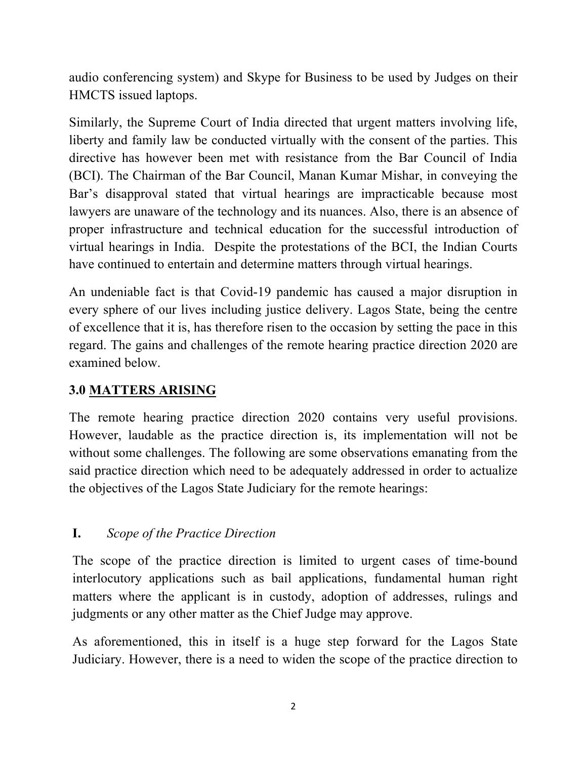audio conferencing system) and Skype for Business to be used by Judges on their HMCTS issued laptops.

Similarly, the Supreme Court of India directed that urgent matters involving life, liberty and family law be conducted virtually with the consent of the parties. This directive has however been met with resistance from the Bar Council of India (BCI). The Chairman of the Bar Council, Manan Kumar Mishar, in conveying the Bar's disapproval stated that virtual hearings are impracticable because most lawyers are unaware of the technology and its nuances. Also, there is an absence of proper infrastructure and technical education for the successful introduction of virtual hearings in India. Despite the protestations of the BCI, the Indian Courts have continued to entertain and determine matters through virtual hearings.

An undeniable fact is that Covid-19 pandemic has caused a major disruption in every sphere of our lives including justice delivery. Lagos State, being the centre of excellence that it is, has therefore risen to the occasion by setting the pace in this regard. The gains and challenges of the remote hearing practice direction 2020 are examined below.

# **3.0 MATTERS ARISING**

The remote hearing practice direction 2020 contains very useful provisions. However, laudable as the practice direction is, its implementation will not be without some challenges. The following are some observations emanating from the said practice direction which need to be adequately addressed in order to actualize the objectives of the Lagos State Judiciary for the remote hearings:

## **I.** *Scope of the Practice Direction*

The scope of the practice direction is limited to urgent cases of time-bound interlocutory applications such as bail applications, fundamental human right matters where the applicant is in custody, adoption of addresses, rulings and judgments or any other matter as the Chief Judge may approve.

As aforementioned, this in itself is a huge step forward for the Lagos State Judiciary. However, there is a need to widen the scope of the practice direction to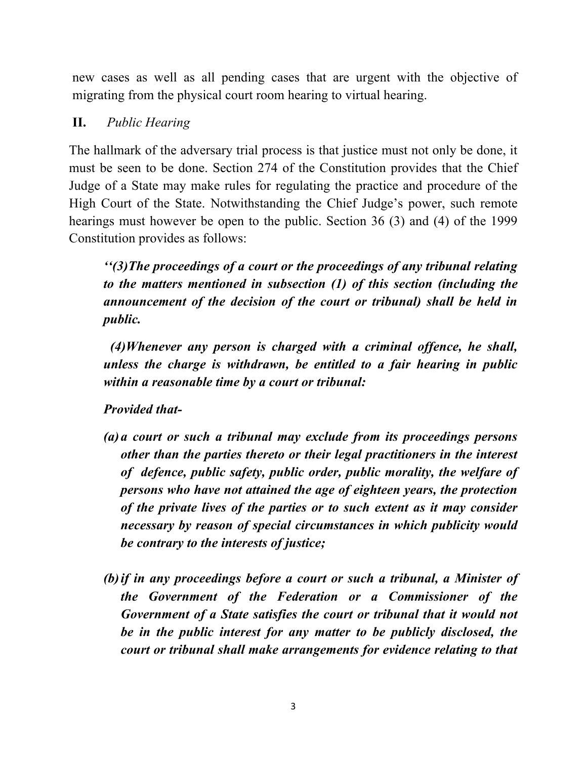new cases as well as all pending cases that are urgent with the objective of migrating from the physical court room hearing to virtual hearing.

### **II.** *Public Hearing*

The hallmark of the adversary trial process is that justice must not only be done, it must be seen to be done. Section 274 of the Constitution provides that the Chief Judge of a State may make rules for regulating the practice and procedure of the High Court of the State. Notwithstanding the Chief Judge's power, such remote hearings must however be open to the public. Section 36 (3) and (4) of the 1999 Constitution provides as follows:

*''(3)The proceedings of a court or the proceedings of any tribunal relating to the matters mentioned in subsection (1) of this section (including the announcement of the decision of the court or tribunal) shall be held in public.*

 *(4)Whenever any person is charged with a criminal offence, he shall, unless the charge is withdrawn, be entitled to a fair hearing in public within a reasonable time by a court or tribunal:*

### *Provided that-*

- *(a)a court or such a tribunal may exclude from its proceedings persons other than the parties thereto or their legal practitioners in the interest of defence, public safety, public order, public morality, the welfare of persons who have not attained the age of eighteen years, the protection of the private lives of the parties or to such extent as it may consider necessary by reason of special circumstances in which publicity would be contrary to the interests of justice;*
- *(b)if in any proceedings before a court or such a tribunal, a Minister of the Government of the Federation or a Commissioner of the Government of a State satisfies the court or tribunal that it would not be in the public interest for any matter to be publicly disclosed, the court or tribunal shall make arrangements for evidence relating to that*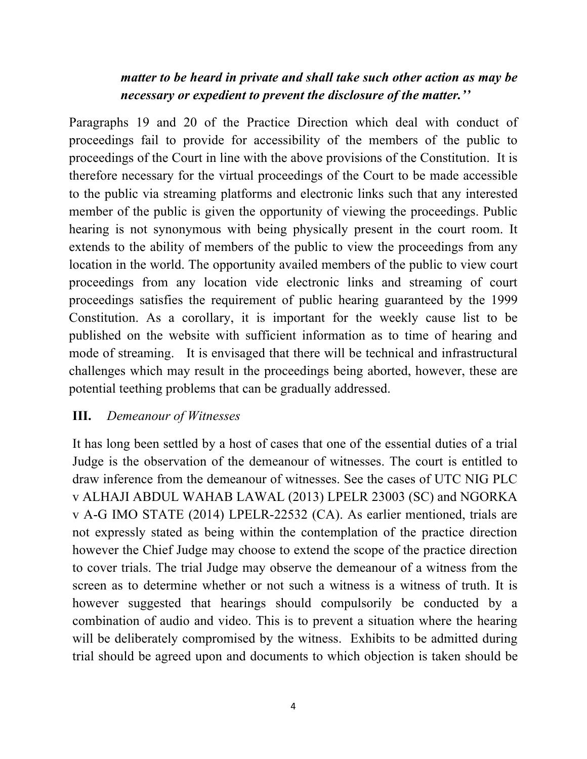### *matter to be heard in private and shall take such other action as may be necessary or expedient to prevent the disclosure of the matter.''*

Paragraphs 19 and 20 of the Practice Direction which deal with conduct of proceedings fail to provide for accessibility of the members of the public to proceedings of the Court in line with the above provisions of the Constitution. It is therefore necessary for the virtual proceedings of the Court to be made accessible to the public via streaming platforms and electronic links such that any interested member of the public is given the opportunity of viewing the proceedings. Public hearing is not synonymous with being physically present in the court room. It extends to the ability of members of the public to view the proceedings from any location in the world. The opportunity availed members of the public to view court proceedings from any location vide electronic links and streaming of court proceedings satisfies the requirement of public hearing guaranteed by the 1999 Constitution. As a corollary, it is important for the weekly cause list to be published on the website with sufficient information as to time of hearing and mode of streaming. It is envisaged that there will be technical and infrastructural challenges which may result in the proceedings being aborted, however, these are potential teething problems that can be gradually addressed.

### **III.** *Demeanour of Witnesses*

It has long been settled by a host of cases that one of the essential duties of a trial Judge is the observation of the demeanour of witnesses. The court is entitled to draw inference from the demeanour of witnesses. See the cases of UTC NIG PLC v ALHAJI ABDUL WAHAB LAWAL (2013) LPELR 23003 (SC) and NGORKA v A-G IMO STATE (2014) LPELR-22532 (CA). As earlier mentioned, trials are not expressly stated as being within the contemplation of the practice direction however the Chief Judge may choose to extend the scope of the practice direction to cover trials. The trial Judge may observe the demeanour of a witness from the screen as to determine whether or not such a witness is a witness of truth. It is however suggested that hearings should compulsorily be conducted by a combination of audio and video. This is to prevent a situation where the hearing will be deliberately compromised by the witness. Exhibits to be admitted during trial should be agreed upon and documents to which objection is taken should be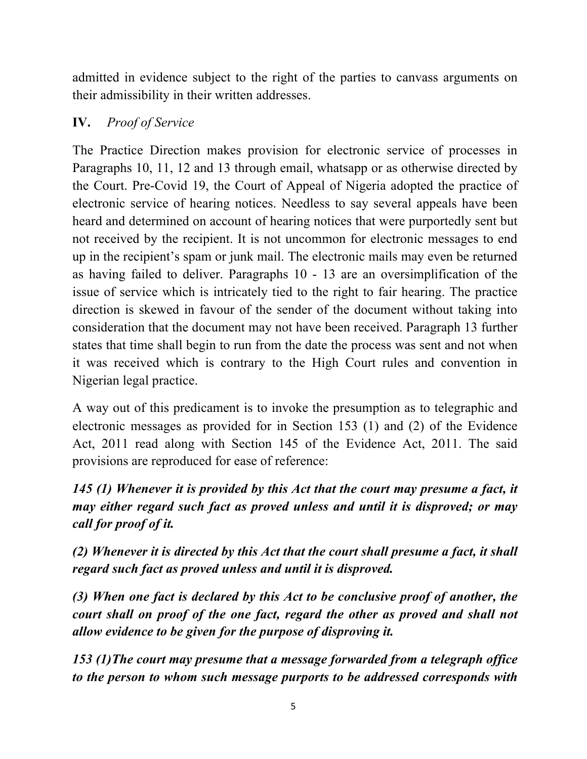admitted in evidence subject to the right of the parties to canvass arguments on their admissibility in their written addresses.

### **IV.** *Proof of Service*

The Practice Direction makes provision for electronic service of processes in Paragraphs 10, 11, 12 and 13 through email, whatsapp or as otherwise directed by the Court. Pre-Covid 19, the Court of Appeal of Nigeria adopted the practice of electronic service of hearing notices. Needless to say several appeals have been heard and determined on account of hearing notices that were purportedly sent but not received by the recipient. It is not uncommon for electronic messages to end up in the recipient's spam or junk mail. The electronic mails may even be returned as having failed to deliver. Paragraphs 10 - 13 are an oversimplification of the issue of service which is intricately tied to the right to fair hearing. The practice direction is skewed in favour of the sender of the document without taking into consideration that the document may not have been received. Paragraph 13 further states that time shall begin to run from the date the process was sent and not when it was received which is contrary to the High Court rules and convention in Nigerian legal practice.

A way out of this predicament is to invoke the presumption as to telegraphic and electronic messages as provided for in Section 153 (1) and (2) of the Evidence Act, 2011 read along with Section 145 of the Evidence Act, 2011. The said provisions are reproduced for ease of reference:

*145 (1) Whenever it is provided by this Act that the court may presume a fact, it may either regard such fact as proved unless and until it is disproved; or may call for proof of it.*

*(2) Whenever it is directed by this Act that the court shall presume a fact, it shall regard such fact as proved unless and until it is disproved.* 

*(3) When one fact is declared by this Act to be conclusive proof of another, the court shall on proof of the one fact, regard the other as proved and shall not allow evidence to be given for the purpose of disproving it.* 

*153 (1)The court may presume that a message forwarded from a telegraph office to the person to whom such message purports to be addressed corresponds with*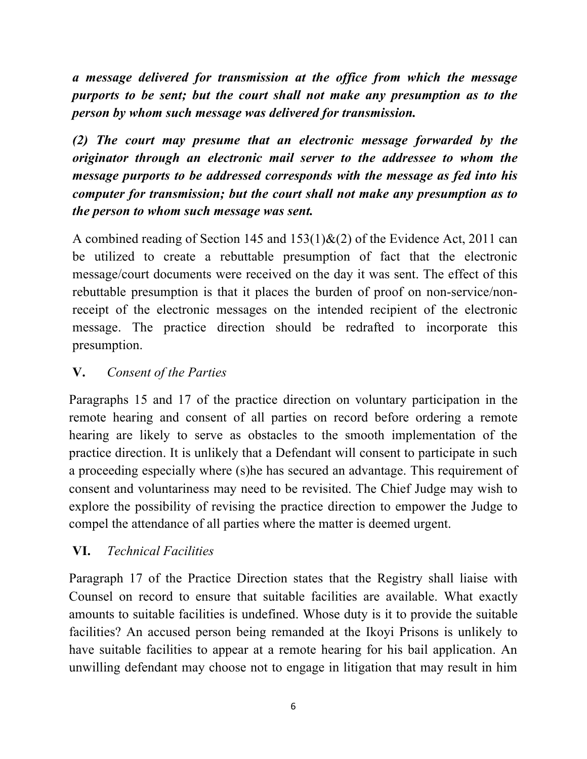*a message delivered for transmission at the office from which the message purports to be sent; but the court shall not make any presumption as to the person by whom such message was delivered for transmission.*

*(2) The court may presume that an electronic message forwarded by the originator through an electronic mail server to the addressee to whom the message purports to be addressed corresponds with the message as fed into his computer for transmission; but the court shall not make any presumption as to the person to whom such message was sent.* 

A combined reading of Section 145 and  $153(1) \& (2)$  of the Evidence Act, 2011 can be utilized to create a rebuttable presumption of fact that the electronic message/court documents were received on the day it was sent. The effect of this rebuttable presumption is that it places the burden of proof on non-service/nonreceipt of the electronic messages on the intended recipient of the electronic message. The practice direction should be redrafted to incorporate this presumption.

### **V.** *Consent of the Parties*

Paragraphs 15 and 17 of the practice direction on voluntary participation in the remote hearing and consent of all parties on record before ordering a remote hearing are likely to serve as obstacles to the smooth implementation of the practice direction. It is unlikely that a Defendant will consent to participate in such a proceeding especially where (s)he has secured an advantage. This requirement of consent and voluntariness may need to be revisited. The Chief Judge may wish to explore the possibility of revising the practice direction to empower the Judge to compel the attendance of all parties where the matter is deemed urgent.

## **VI.** *Technical Facilities*

Paragraph 17 of the Practice Direction states that the Registry shall liaise with Counsel on record to ensure that suitable facilities are available. What exactly amounts to suitable facilities is undefined. Whose duty is it to provide the suitable facilities? An accused person being remanded at the Ikoyi Prisons is unlikely to have suitable facilities to appear at a remote hearing for his bail application. An unwilling defendant may choose not to engage in litigation that may result in him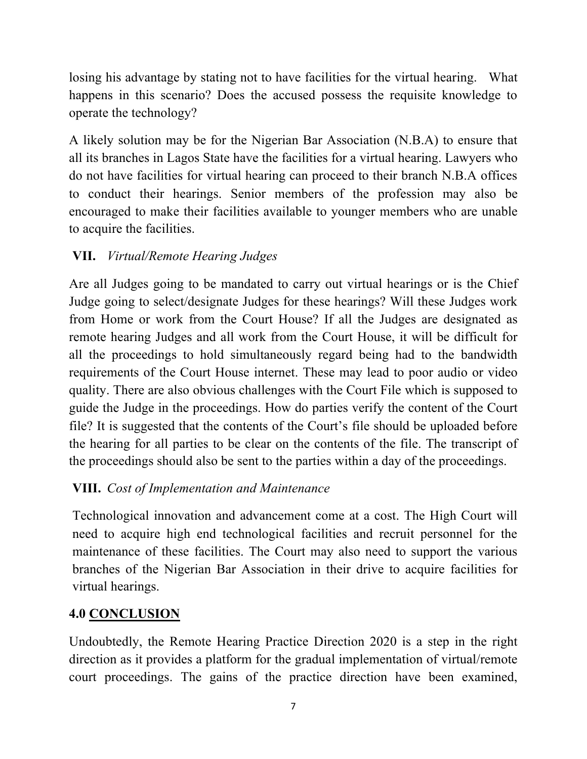losing his advantage by stating not to have facilities for the virtual hearing. What happens in this scenario? Does the accused possess the requisite knowledge to operate the technology?

A likely solution may be for the Nigerian Bar Association (N.B.A) to ensure that all its branches in Lagos State have the facilities for a virtual hearing. Lawyers who do not have facilities for virtual hearing can proceed to their branch N.B.A offices to conduct their hearings. Senior members of the profession may also be encouraged to make their facilities available to younger members who are unable to acquire the facilities.

# **VII.** *Virtual/Remote Hearing Judges*

Are all Judges going to be mandated to carry out virtual hearings or is the Chief Judge going to select/designate Judges for these hearings? Will these Judges work from Home or work from the Court House? If all the Judges are designated as remote hearing Judges and all work from the Court House, it will be difficult for all the proceedings to hold simultaneously regard being had to the bandwidth requirements of the Court House internet. These may lead to poor audio or video quality. There are also obvious challenges with the Court File which is supposed to guide the Judge in the proceedings. How do parties verify the content of the Court file? It is suggested that the contents of the Court's file should be uploaded before the hearing for all parties to be clear on the contents of the file. The transcript of the proceedings should also be sent to the parties within a day of the proceedings.

## **VIII.** *Cost of Implementation and Maintenance*

Technological innovation and advancement come at a cost. The High Court will need to acquire high end technological facilities and recruit personnel for the maintenance of these facilities. The Court may also need to support the various branches of the Nigerian Bar Association in their drive to acquire facilities for virtual hearings.

## **4.0 CONCLUSION**

Undoubtedly, the Remote Hearing Practice Direction 2020 is a step in the right direction as it provides a platform for the gradual implementation of virtual/remote court proceedings. The gains of the practice direction have been examined,